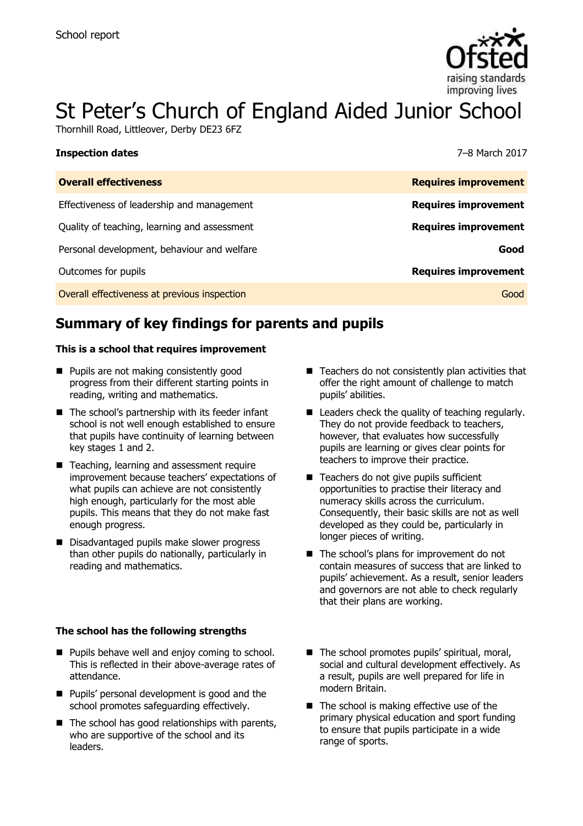

# St Peter's Church of England Aided Junior School

Thornhill Road, Littleover, Derby DE23 6FZ

| Inspection dates                             | 7–8 March 2017              |
|----------------------------------------------|-----------------------------|
| <b>Overall effectiveness</b>                 | <b>Requires improvement</b> |
| Effectiveness of leadership and management   | <b>Requires improvement</b> |
| Quality of teaching, learning and assessment | <b>Requires improvement</b> |
| Personal development, behaviour and welfare  | Good                        |
| Outcomes for pupils                          | <b>Requires improvement</b> |
| Overall effectiveness at previous inspection | Good                        |

# **Summary of key findings for parents and pupils**

### **This is a school that requires improvement**

- **Pupils are not making consistently good** progress from their different starting points in reading, writing and mathematics.
- $\blacksquare$  The school's partnership with its feeder infant school is not well enough established to ensure that pupils have continuity of learning between key stages 1 and 2.
- Teaching, learning and assessment require improvement because teachers' expectations of what pupils can achieve are not consistently high enough, particularly for the most able pupils. This means that they do not make fast enough progress.
- Disadvantaged pupils make slower progress than other pupils do nationally, particularly in reading and mathematics.

### **The school has the following strengths**

- **Pupils behave well and enjoy coming to school.** This is reflected in their above-average rates of attendance.
- **Pupils' personal development is good and the** school promotes safeguarding effectively.
- $\blacksquare$  The school has good relationships with parents, who are supportive of the school and its leaders.
- $\blacksquare$  Teachers do not consistently plan activities that offer the right amount of challenge to match pupils' abilities.
- Leaders check the quality of teaching regularly. They do not provide feedback to teachers, however, that evaluates how successfully pupils are learning or gives clear points for teachers to improve their practice.
- Teachers do not give pupils sufficient opportunities to practise their literacy and numeracy skills across the curriculum. Consequently, their basic skills are not as well developed as they could be, particularly in longer pieces of writing.
- The school's plans for improvement do not contain measures of success that are linked to pupils' achievement. As a result, senior leaders and governors are not able to check regularly that their plans are working.
- The school promotes pupils' spiritual, moral, social and cultural development effectively. As a result, pupils are well prepared for life in modern Britain.
- $\blacksquare$  The school is making effective use of the primary physical education and sport funding to ensure that pupils participate in a wide range of sports.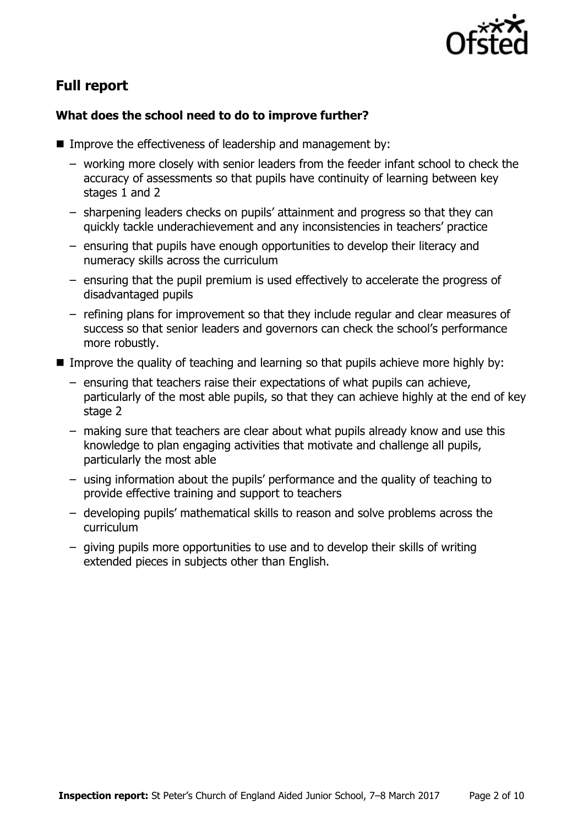

# **Full report**

### **What does the school need to do to improve further?**

- Improve the effectiveness of leadership and management by:
	- working more closely with senior leaders from the feeder infant school to check the accuracy of assessments so that pupils have continuity of learning between key stages 1 and 2
	- sharpening leaders checks on pupils' attainment and progress so that they can quickly tackle underachievement and any inconsistencies in teachers' practice
	- ensuring that pupils have enough opportunities to develop their literacy and numeracy skills across the curriculum
	- ensuring that the pupil premium is used effectively to accelerate the progress of disadvantaged pupils
	- refining plans for improvement so that they include regular and clear measures of success so that senior leaders and governors can check the school's performance more robustly.
- Improve the quality of teaching and learning so that pupils achieve more highly by:
	- ensuring that teachers raise their expectations of what pupils can achieve, particularly of the most able pupils, so that they can achieve highly at the end of key stage 2
	- making sure that teachers are clear about what pupils already know and use this knowledge to plan engaging activities that motivate and challenge all pupils, particularly the most able
	- using information about the pupils' performance and the quality of teaching to provide effective training and support to teachers
	- developing pupils' mathematical skills to reason and solve problems across the curriculum
	- giving pupils more opportunities to use and to develop their skills of writing extended pieces in subjects other than English.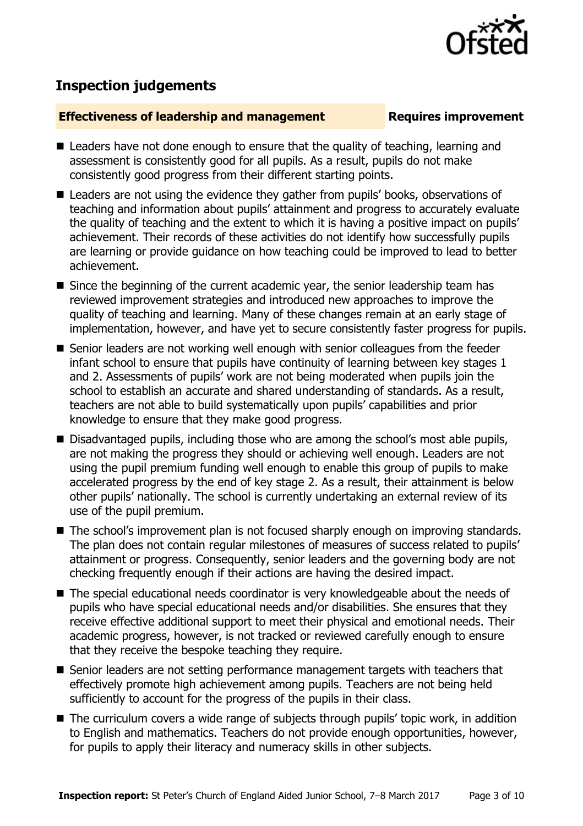

## **Inspection judgements**

### **Effectiveness of leadership and management Requires improvement**

- Leaders have not done enough to ensure that the quality of teaching, learning and assessment is consistently good for all pupils. As a result, pupils do not make consistently good progress from their different starting points.
- Leaders are not using the evidence they gather from pupils' books, observations of teaching and information about pupils' attainment and progress to accurately evaluate the quality of teaching and the extent to which it is having a positive impact on pupils' achievement. Their records of these activities do not identify how successfully pupils are learning or provide guidance on how teaching could be improved to lead to better achievement.
- Since the beginning of the current academic year, the senior leadership team has reviewed improvement strategies and introduced new approaches to improve the quality of teaching and learning. Many of these changes remain at an early stage of implementation, however, and have yet to secure consistently faster progress for pupils.
- Senior leaders are not working well enough with senior colleagues from the feeder infant school to ensure that pupils have continuity of learning between key stages 1 and 2. Assessments of pupils' work are not being moderated when pupils join the school to establish an accurate and shared understanding of standards. As a result, teachers are not able to build systematically upon pupils' capabilities and prior knowledge to ensure that they make good progress.
- Disadvantaged pupils, including those who are among the school's most able pupils, are not making the progress they should or achieving well enough. Leaders are not using the pupil premium funding well enough to enable this group of pupils to make accelerated progress by the end of key stage 2. As a result, their attainment is below other pupils' nationally. The school is currently undertaking an external review of its use of the pupil premium.
- The school's improvement plan is not focused sharply enough on improving standards. The plan does not contain regular milestones of measures of success related to pupils' attainment or progress. Consequently, senior leaders and the governing body are not checking frequently enough if their actions are having the desired impact.
- The special educational needs coordinator is very knowledgeable about the needs of pupils who have special educational needs and/or disabilities. She ensures that they receive effective additional support to meet their physical and emotional needs. Their academic progress, however, is not tracked or reviewed carefully enough to ensure that they receive the bespoke teaching they require.
- Senior leaders are not setting performance management targets with teachers that effectively promote high achievement among pupils. Teachers are not being held sufficiently to account for the progress of the pupils in their class.
- The curriculum covers a wide range of subjects through pupils' topic work, in addition to English and mathematics. Teachers do not provide enough opportunities, however, for pupils to apply their literacy and numeracy skills in other subjects.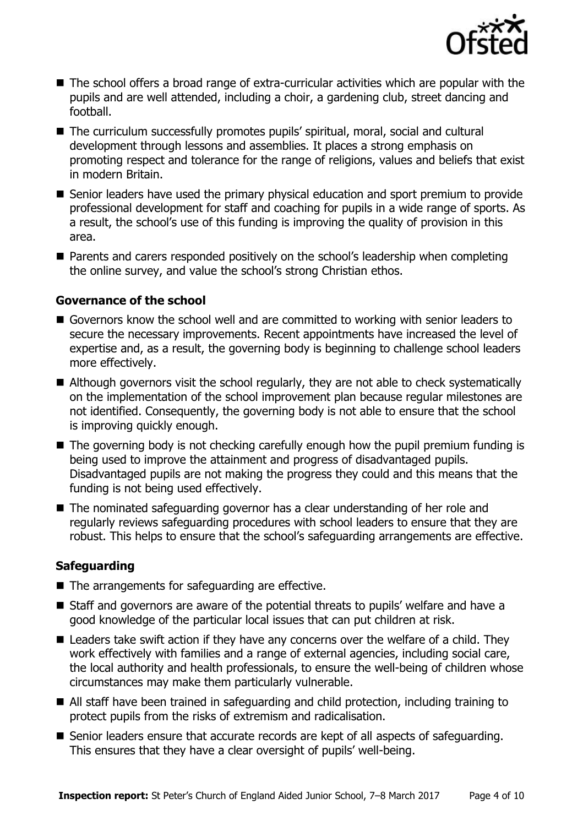

- The school offers a broad range of extra-curricular activities which are popular with the pupils and are well attended, including a choir, a gardening club, street dancing and football.
- The curriculum successfully promotes pupils' spiritual, moral, social and cultural development through lessons and assemblies. It places a strong emphasis on promoting respect and tolerance for the range of religions, values and beliefs that exist in modern Britain.
- Senior leaders have used the primary physical education and sport premium to provide professional development for staff and coaching for pupils in a wide range of sports. As a result, the school's use of this funding is improving the quality of provision in this area.
- Parents and carers responded positively on the school's leadership when completing the online survey, and value the school's strong Christian ethos.

### **Governance of the school**

- Governors know the school well and are committed to working with senior leaders to secure the necessary improvements. Recent appointments have increased the level of expertise and, as a result, the governing body is beginning to challenge school leaders more effectively.
- Although governors visit the school regularly, they are not able to check systematically on the implementation of the school improvement plan because regular milestones are not identified. Consequently, the governing body is not able to ensure that the school is improving quickly enough.
- $\blacksquare$  The governing body is not checking carefully enough how the pupil premium funding is being used to improve the attainment and progress of disadvantaged pupils. Disadvantaged pupils are not making the progress they could and this means that the funding is not being used effectively.
- The nominated safeguarding governor has a clear understanding of her role and regularly reviews safeguarding procedures with school leaders to ensure that they are robust. This helps to ensure that the school's safeguarding arrangements are effective.

### **Safeguarding**

- $\blacksquare$  The arrangements for safeguarding are effective.
- Staff and governors are aware of the potential threats to pupils' welfare and have a good knowledge of the particular local issues that can put children at risk.
- Leaders take swift action if they have any concerns over the welfare of a child. They work effectively with families and a range of external agencies, including social care, the local authority and health professionals, to ensure the well-being of children whose circumstances may make them particularly vulnerable.
- All staff have been trained in safeguarding and child protection, including training to protect pupils from the risks of extremism and radicalisation.
- Senior leaders ensure that accurate records are kept of all aspects of safeguarding. This ensures that they have a clear oversight of pupils' well-being.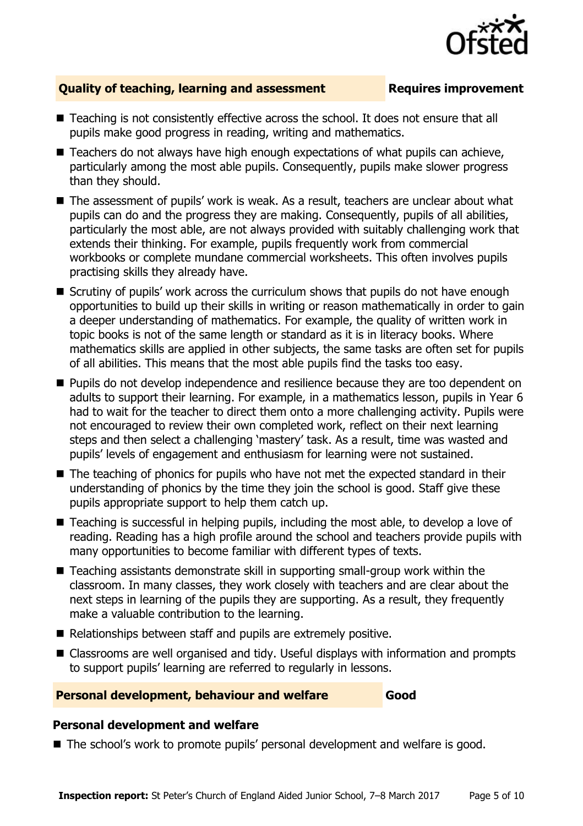

### **Quality of teaching, learning and assessment Requires improvement**

- Teaching is not consistently effective across the school. It does not ensure that all pupils make good progress in reading, writing and mathematics.
- Teachers do not always have high enough expectations of what pupils can achieve, particularly among the most able pupils. Consequently, pupils make slower progress than they should.
- The assessment of pupils' work is weak. As a result, teachers are unclear about what pupils can do and the progress they are making. Consequently, pupils of all abilities, particularly the most able, are not always provided with suitably challenging work that extends their thinking. For example, pupils frequently work from commercial workbooks or complete mundane commercial worksheets. This often involves pupils practising skills they already have.
- Scrutiny of pupils' work across the curriculum shows that pupils do not have enough opportunities to build up their skills in writing or reason mathematically in order to gain a deeper understanding of mathematics. For example, the quality of written work in topic books is not of the same length or standard as it is in literacy books. Where mathematics skills are applied in other subjects, the same tasks are often set for pupils of all abilities. This means that the most able pupils find the tasks too easy.
- **Pupils do not develop independence and resilience because they are too dependent on** adults to support their learning. For example, in a mathematics lesson, pupils in Year 6 had to wait for the teacher to direct them onto a more challenging activity. Pupils were not encouraged to review their own completed work, reflect on their next learning steps and then select a challenging 'mastery' task. As a result, time was wasted and pupils' levels of engagement and enthusiasm for learning were not sustained.
- The teaching of phonics for pupils who have not met the expected standard in their understanding of phonics by the time they join the school is good. Staff give these pupils appropriate support to help them catch up.
- Teaching is successful in helping pupils, including the most able, to develop a love of reading. Reading has a high profile around the school and teachers provide pupils with many opportunities to become familiar with different types of texts.
- Teaching assistants demonstrate skill in supporting small-group work within the classroom. In many classes, they work closely with teachers and are clear about the next steps in learning of the pupils they are supporting. As a result, they frequently make a valuable contribution to the learning.
- Relationships between staff and pupils are extremely positive.
- Classrooms are well organised and tidy. Useful displays with information and prompts to support pupils' learning are referred to regularly in lessons.

### **Personal development, behaviour and welfare Good**

### **Personal development and welfare**

■ The school's work to promote pupils' personal development and welfare is good.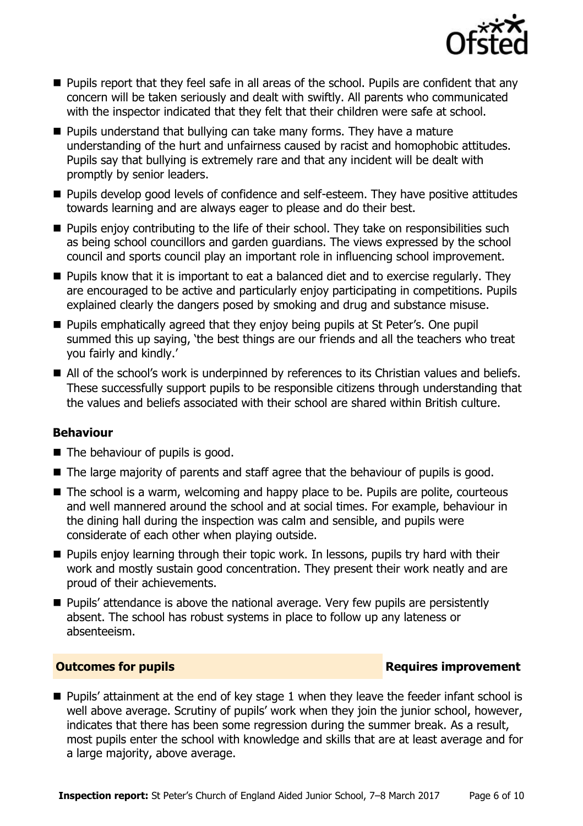

- **Pupils report that they feel safe in all areas of the school. Pupils are confident that any** concern will be taken seriously and dealt with swiftly. All parents who communicated with the inspector indicated that they felt that their children were safe at school.
- $\blacksquare$  Pupils understand that bullying can take many forms. They have a mature understanding of the hurt and unfairness caused by racist and homophobic attitudes. Pupils say that bullying is extremely rare and that any incident will be dealt with promptly by senior leaders.
- **Pupils develop good levels of confidence and self-esteem. They have positive attitudes** towards learning and are always eager to please and do their best.
- **Pupils enjoy contributing to the life of their school. They take on responsibilities such** as being school councillors and garden guardians. The views expressed by the school council and sports council play an important role in influencing school improvement.
- **Pupils know that it is important to eat a balanced diet and to exercise regularly. They** are encouraged to be active and particularly enjoy participating in competitions. Pupils explained clearly the dangers posed by smoking and drug and substance misuse.
- **Pupils emphatically agreed that they enjoy being pupils at St Peter's. One pupil** summed this up saying, 'the best things are our friends and all the teachers who treat you fairly and kindly.'
- All of the school's work is underpinned by references to its Christian values and beliefs. These successfully support pupils to be responsible citizens through understanding that the values and beliefs associated with their school are shared within British culture.

### **Behaviour**

- $\blacksquare$  The behaviour of pupils is good.
- The large majority of parents and staff agree that the behaviour of pupils is good.
- The school is a warm, welcoming and happy place to be. Pupils are polite, courteous and well mannered around the school and at social times. For example, behaviour in the dining hall during the inspection was calm and sensible, and pupils were considerate of each other when playing outside.
- **Pupils enjoy learning through their topic work. In lessons, pupils try hard with their** work and mostly sustain good concentration. They present their work neatly and are proud of their achievements.
- Pupils' attendance is above the national average. Very few pupils are persistently absent. The school has robust systems in place to follow up any lateness or absenteeism.

### **Outcomes for pupils Requires improvement**

**Pupils' attainment at the end of key stage 1 when they leave the feeder infant school is** well above average. Scrutiny of pupils' work when they join the junior school, however, indicates that there has been some regression during the summer break. As a result, most pupils enter the school with knowledge and skills that are at least average and for a large majority, above average.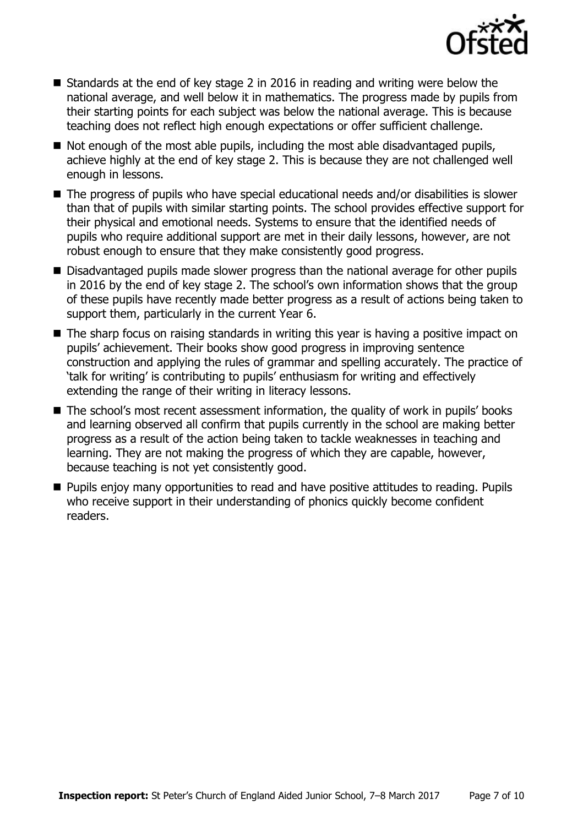

- Standards at the end of key stage 2 in 2016 in reading and writing were below the national average, and well below it in mathematics. The progress made by pupils from their starting points for each subject was below the national average. This is because teaching does not reflect high enough expectations or offer sufficient challenge.
- $\blacksquare$  Not enough of the most able pupils, including the most able disadvantaged pupils, achieve highly at the end of key stage 2. This is because they are not challenged well enough in lessons.
- The progress of pupils who have special educational needs and/or disabilities is slower than that of pupils with similar starting points. The school provides effective support for their physical and emotional needs. Systems to ensure that the identified needs of pupils who require additional support are met in their daily lessons, however, are not robust enough to ensure that they make consistently good progress.
- Disadvantaged pupils made slower progress than the national average for other pupils in 2016 by the end of key stage 2. The school's own information shows that the group of these pupils have recently made better progress as a result of actions being taken to support them, particularly in the current Year 6.
- The sharp focus on raising standards in writing this year is having a positive impact on pupils' achievement. Their books show good progress in improving sentence construction and applying the rules of grammar and spelling accurately. The practice of 'talk for writing' is contributing to pupils' enthusiasm for writing and effectively extending the range of their writing in literacy lessons.
- The school's most recent assessment information, the quality of work in pupils' books and learning observed all confirm that pupils currently in the school are making better progress as a result of the action being taken to tackle weaknesses in teaching and learning. They are not making the progress of which they are capable, however, because teaching is not yet consistently good.
- **Pupils enjoy many opportunities to read and have positive attitudes to reading. Pupils** who receive support in their understanding of phonics quickly become confident readers.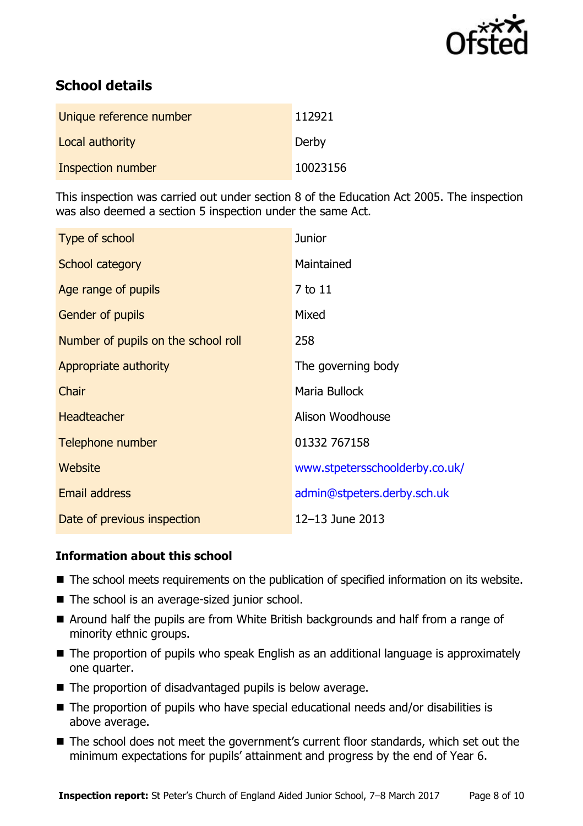

# **School details**

| Unique reference number  | 112921   |
|--------------------------|----------|
| Local authority          | Derby    |
| <b>Inspection number</b> | 10023156 |

This inspection was carried out under section 8 of the Education Act 2005. The inspection was also deemed a section 5 inspection under the same Act.

| Type of school                      | <b>Junior</b>                  |
|-------------------------------------|--------------------------------|
| School category                     | Maintained                     |
| Age range of pupils                 | 7 to 11                        |
| <b>Gender of pupils</b>             | Mixed                          |
| Number of pupils on the school roll | 258                            |
| Appropriate authority               | The governing body             |
| Chair                               | Maria Bullock                  |
| <b>Headteacher</b>                  | Alison Woodhouse               |
| Telephone number                    | 01332 767158                   |
| Website                             | www.stpetersschoolderby.co.uk/ |
| Email address                       | admin@stpeters.derby.sch.uk    |
| Date of previous inspection         | 12-13 June 2013                |

### **Information about this school**

- The school meets requirements on the publication of specified information on its website.
- The school is an average-sized junior school.
- Around half the pupils are from White British backgrounds and half from a range of minority ethnic groups.
- The proportion of pupils who speak English as an additional language is approximately one quarter.
- The proportion of disadvantaged pupils is below average.
- The proportion of pupils who have special educational needs and/or disabilities is above average.
- The school does not meet the government's current floor standards, which set out the minimum expectations for pupils' attainment and progress by the end of Year 6.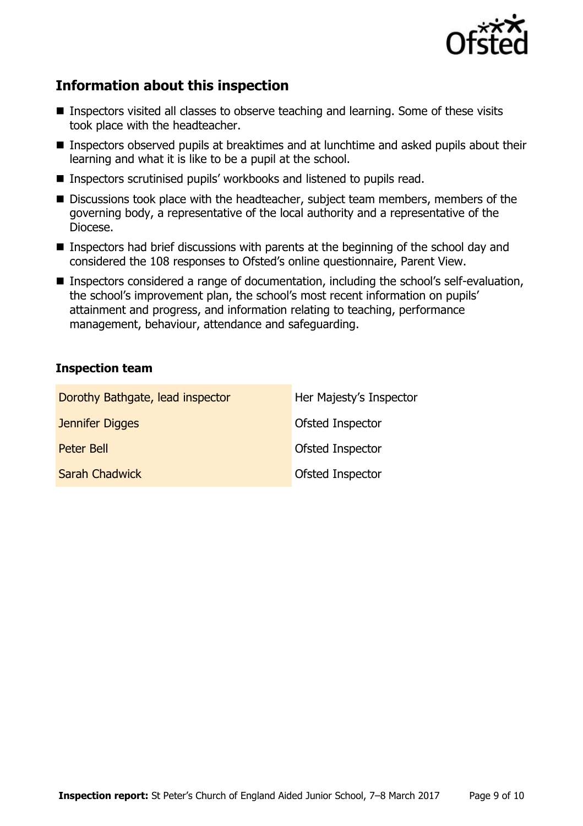

# **Information about this inspection**

- Inspectors visited all classes to observe teaching and learning. Some of these visits took place with the headteacher.
- Inspectors observed pupils at breaktimes and at lunchtime and asked pupils about their learning and what it is like to be a pupil at the school.
- Inspectors scrutinised pupils' workbooks and listened to pupils read.
- Discussions took place with the headteacher, subject team members, members of the governing body, a representative of the local authority and a representative of the Diocese.
- Inspectors had brief discussions with parents at the beginning of the school day and considered the 108 responses to Ofsted's online questionnaire, Parent View.
- Inspectors considered a range of documentation, including the school's self-evaluation, the school's improvement plan, the school's most recent information on pupils' attainment and progress, and information relating to teaching, performance management, behaviour, attendance and safeguarding.

### **Inspection team**

| Dorothy Bathgate, lead inspector | Her Majesty's Inspector |
|----------------------------------|-------------------------|
| Jennifer Digges                  | <b>Ofsted Inspector</b> |
| Peter Bell                       | Ofsted Inspector        |
| <b>Sarah Chadwick</b>            | Ofsted Inspector        |